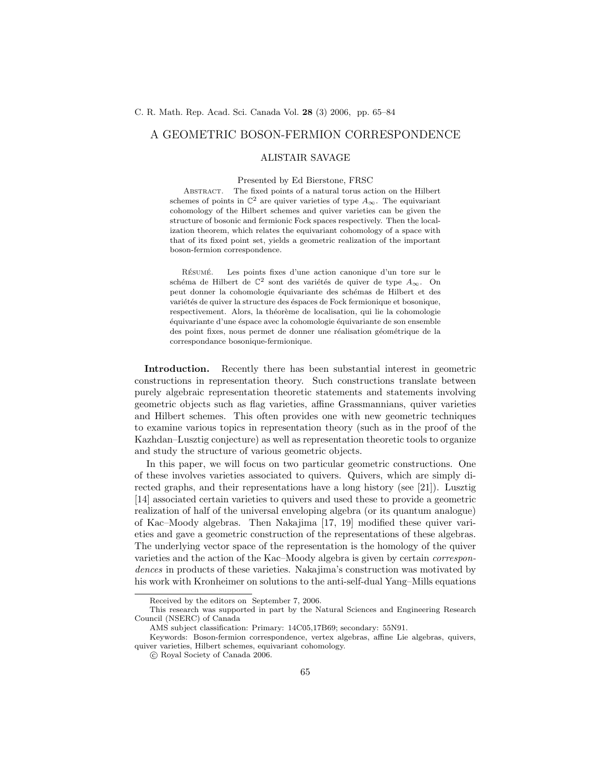## A GEOMETRIC BOSON-FERMION CORRESPONDENCE

### ALISTAIR SAVAGE

# Presented by Ed Bierstone, FRSC

Abstract. The fixed points of a natural torus action on the Hilbert schemes of points in  $\mathbb{C}^2$  are quiver varieties of type  $A_{\infty}$ . The equivariant cohomology of the Hilbert schemes and quiver varieties can be given the structure of bosonic and fermionic Fock spaces respectively. Then the localization theorem, which relates the equivariant cohomology of a space with that of its fixed point set, yields a geometric realization of the important boson-fermion correspondence.

RÉSUMÉ. Les points fixes d'une action canonique d'un tore sur le schéma de Hilbert de  $\mathbb{C}^2$  sont des variétés de quiver de type  $A_{\infty}$ . On peut donner la cohomologie équivariante des schémas de Hilbert et des variétés de quiver la structure des éspaces de Fock fermionique et bosonique, respectivement. Alors, la théorème de localisation, qui lie la cohomologie ´equivariante d'une ´espace avec la cohomologie ´equivariante de son ensemble des point fixes, nous permet de donner une réalisation géométrique de la correspondance bosonique-fermionique.

Introduction. Recently there has been substantial interest in geometric constructions in representation theory. Such constructions translate between purely algebraic representation theoretic statements and statements involving geometric objects such as flag varieties, affine Grassmannians, quiver varieties and Hilbert schemes. This often provides one with new geometric techniques to examine various topics in representation theory (such as in the proof of the Kazhdan–Lusztig conjecture) as well as representation theoretic tools to organize and study the structure of various geometric objects.

In this paper, we will focus on two particular geometric constructions. One of these involves varieties associated to quivers. Quivers, which are simply directed graphs, and their representations have a long history (see [21]). Lusztig [14] associated certain varieties to quivers and used these to provide a geometric realization of half of the universal enveloping algebra (or its quantum analogue) of Kac–Moody algebras. Then Nakajima [17, 19] modified these quiver varieties and gave a geometric construction of the representations of these algebras. The underlying vector space of the representation is the homology of the quiver varieties and the action of the Kac–Moody algebra is given by certain correspondences in products of these varieties. Nakajima's construction was motivated by his work with Kronheimer on solutions to the anti-self-dual Yang–Mills equations

Received by the editors on September 7, 2006.

This research was supported in part by the Natural Sciences and Engineering Research Council (NSERC) of Canada

AMS subject classification: Primary: 14C05,17B69; secondary: 55N91.

Keywords: Boson-fermion correspondence, vertex algebras, affine Lie algebras, quivers, quiver varieties, Hilbert schemes, equivariant cohomology.

c Royal Society of Canada 2006.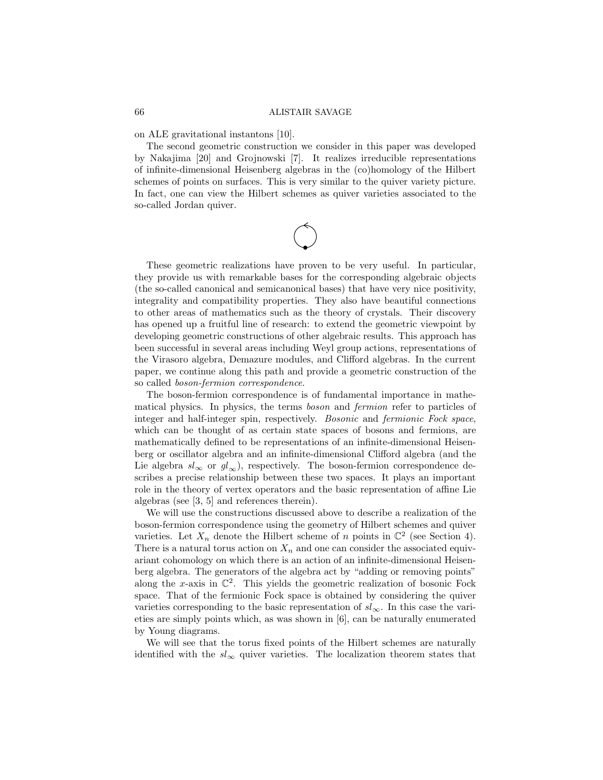on ALE gravitational instantons [10].

The second geometric construction we consider in this paper was developed by Nakajima [20] and Grojnowski [7]. It realizes irreducible representations of infinite-dimensional Heisenberg algebras in the (co)homology of the Hilbert schemes of points on surfaces. This is very similar to the quiver variety picture. In fact, one can view the Hilbert schemes as quiver varieties associated to the so-called Jordan quiver.

These geometric realizations have proven to be very useful. In particular, they provide us with remarkable bases for the corresponding algebraic objects (the so-called canonical and semicanonical bases) that have very nice positivity, integrality and compatibility properties. They also have beautiful connections to other areas of mathematics such as the theory of crystals. Their discovery has opened up a fruitful line of research: to extend the geometric viewpoint by developing geometric constructions of other algebraic results. This approach has been successful in several areas including Weyl group actions, representations of the Virasoro algebra, Demazure modules, and Clifford algebras. In the current paper, we continue along this path and provide a geometric construction of the so called boson-fermion correspondence.

The boson-fermion correspondence is of fundamental importance in mathematical physics. In physics, the terms boson and fermion refer to particles of integer and half-integer spin, respectively. Bosonic and fermionic Fock space, which can be thought of as certain state spaces of bosons and fermions, are mathematically defined to be representations of an infinite-dimensional Heisenberg or oscillator algebra and an infinite-dimensional Clifford algebra (and the Lie algebra  $sl_{\infty}$  or  $gl_{\infty}$ ), respectively. The boson-fermion correspondence describes a precise relationship between these two spaces. It plays an important role in the theory of vertex operators and the basic representation of affine Lie algebras (see [3, 5] and references therein).

We will use the constructions discussed above to describe a realization of the boson-fermion correspondence using the geometry of Hilbert schemes and quiver varieties. Let  $X_n$  denote the Hilbert scheme of n points in  $\mathbb{C}^2$  (see Section 4). There is a natural torus action on  $X_n$  and one can consider the associated equivariant cohomology on which there is an action of an infinite-dimensional Heisenberg algebra. The generators of the algebra act by "adding or removing points" along the x-axis in  $\mathbb{C}^2$ . This yields the geometric realization of bosonic Fock space. That of the fermionic Fock space is obtained by considering the quiver varieties corresponding to the basic representation of  $sl_{\infty}$ . In this case the varieties are simply points which, as was shown in [6], can be naturally enumerated by Young diagrams.

We will see that the torus fixed points of the Hilbert schemes are naturally identified with the  $sl_{\infty}$  quiver varieties. The localization theorem states that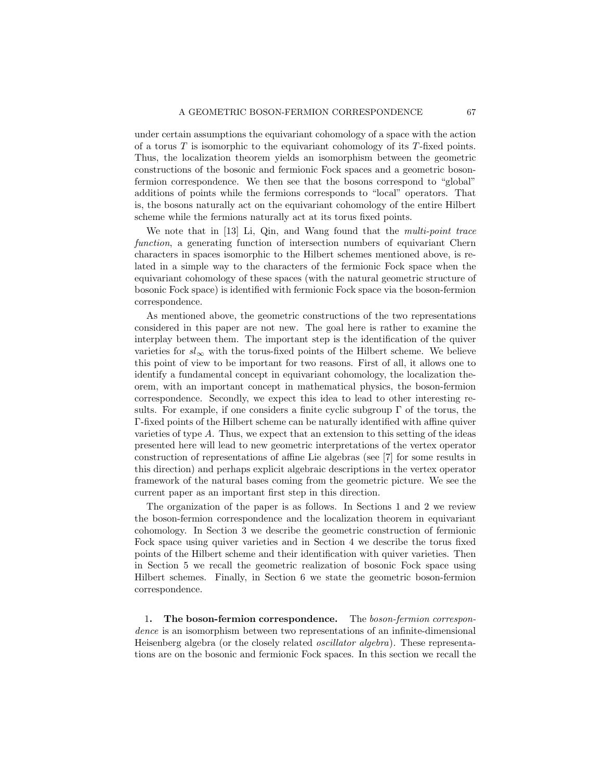under certain assumptions the equivariant cohomology of a space with the action of a torus  $T$  is isomorphic to the equivariant cohomology of its  $T$ -fixed points. Thus, the localization theorem yields an isomorphism between the geometric constructions of the bosonic and fermionic Fock spaces and a geometric bosonfermion correspondence. We then see that the bosons correspond to "global" additions of points while the fermions corresponds to "local" operators. That is, the bosons naturally act on the equivariant cohomology of the entire Hilbert scheme while the fermions naturally act at its torus fixed points.

We note that in [13] Li, Qin, and Wang found that the *multi-point trace* function, a generating function of intersection numbers of equivariant Chern characters in spaces isomorphic to the Hilbert schemes mentioned above, is related in a simple way to the characters of the fermionic Fock space when the equivariant cohomology of these spaces (with the natural geometric structure of bosonic Fock space) is identified with fermionic Fock space via the boson-fermion correspondence.

As mentioned above, the geometric constructions of the two representations considered in this paper are not new. The goal here is rather to examine the interplay between them. The important step is the identification of the quiver varieties for  $sl_{\infty}$  with the torus-fixed points of the Hilbert scheme. We believe this point of view to be important for two reasons. First of all, it allows one to identify a fundamental concept in equivariant cohomology, the localization theorem, with an important concept in mathematical physics, the boson-fermion correspondence. Secondly, we expect this idea to lead to other interesting results. For example, if one considers a finite cyclic subgroup  $\Gamma$  of the torus, the Γ-fixed points of the Hilbert scheme can be naturally identified with affine quiver varieties of type A. Thus, we expect that an extension to this setting of the ideas presented here will lead to new geometric interpretations of the vertex operator construction of representations of affine Lie algebras (see [7] for some results in this direction) and perhaps explicit algebraic descriptions in the vertex operator framework of the natural bases coming from the geometric picture. We see the current paper as an important first step in this direction.

The organization of the paper is as follows. In Sections 1 and 2 we review the boson-fermion correspondence and the localization theorem in equivariant cohomology. In Section 3 we describe the geometric construction of fermionic Fock space using quiver varieties and in Section 4 we describe the torus fixed points of the Hilbert scheme and their identification with quiver varieties. Then in Section 5 we recall the geometric realization of bosonic Fock space using Hilbert schemes. Finally, in Section 6 we state the geometric boson-fermion correspondence.

1. The boson-fermion correspondence. The boson-fermion correspondence is an isomorphism between two representations of an infinite-dimensional Heisenberg algebra (or the closely related oscillator algebra). These representations are on the bosonic and fermionic Fock spaces. In this section we recall the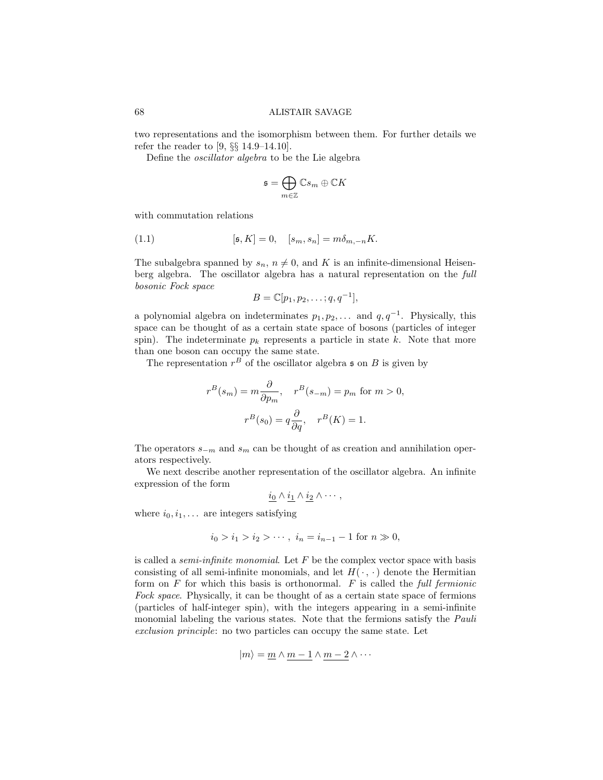two representations and the isomorphism between them. For further details we refer the reader to [9, §§ 14.9–14.10].

Define the oscillator algebra to be the Lie algebra

$$
\mathfrak{s}=\bigoplus_{m\in\mathbb{Z}}\mathbb{C} s_m\oplus\mathbb{C} K
$$

with commutation relations

(1.1) 
$$
[\mathfrak{s}, K] = 0, \quad [s_m, s_n] = m\delta_{m,-n}K.
$$

The subalgebra spanned by  $s_n$ ,  $n \neq 0$ , and K is an infinite-dimensional Heisenberg algebra. The oscillator algebra has a natural representation on the full bosonic Fock space

$$
B=\mathbb{C}[p_1,p_2,\ldots;q,q^{-1}],
$$

a polynomial algebra on indeterminates  $p_1, p_2, \ldots$  and  $q, q^{-1}$ . Physically, this space can be thought of as a certain state space of bosons (particles of integer spin). The indeterminate  $p_k$  represents a particle in state k. Note that more than one boson can occupy the same state.

The representation  $r^B$  of the oscillator algebra  $\mathfrak s$  on  $B$  is given by

$$
r^{B}(s_{m}) = m \frac{\partial}{\partial p_{m}}, \quad r^{B}(s_{-m}) = p_{m} \text{ for } m > 0,
$$

$$
r^{B}(s_{0}) = q \frac{\partial}{\partial q}, \quad r^{B}(K) = 1.
$$

The operators  $s_{-m}$  and  $s_m$  can be thought of as creation and annihilation operators respectively.

We next describe another representation of the oscillator algebra. An infinite expression of the form

$$
\underline{i_0} \wedge \underline{i_1} \wedge \underline{i_2} \wedge \cdots,
$$

where  $i_0, i_1, \ldots$  are integers satisfying

$$
i_0 > i_1 > i_2 > \cdots
$$
,  $i_n = i_{n-1} - 1$  for  $n \gg 0$ ,

is called a *semi-infinite monomial*. Let  $F$  be the complex vector space with basis consisting of all semi-infinite monomials, and let  $H(\cdot, \cdot)$  denote the Hermitian form on  $F$  for which this basis is orthonormal.  $F$  is called the full fermionic Fock space. Physically, it can be thought of as a certain state space of fermions (particles of half-integer spin), with the integers appearing in a semi-infinite monomial labeling the various states. Note that the fermions satisfy the Pauli exclusion principle: no two particles can occupy the same state. Let

$$
|m\rangle = m \wedge m - 1 \wedge m - 2 \wedge \cdots
$$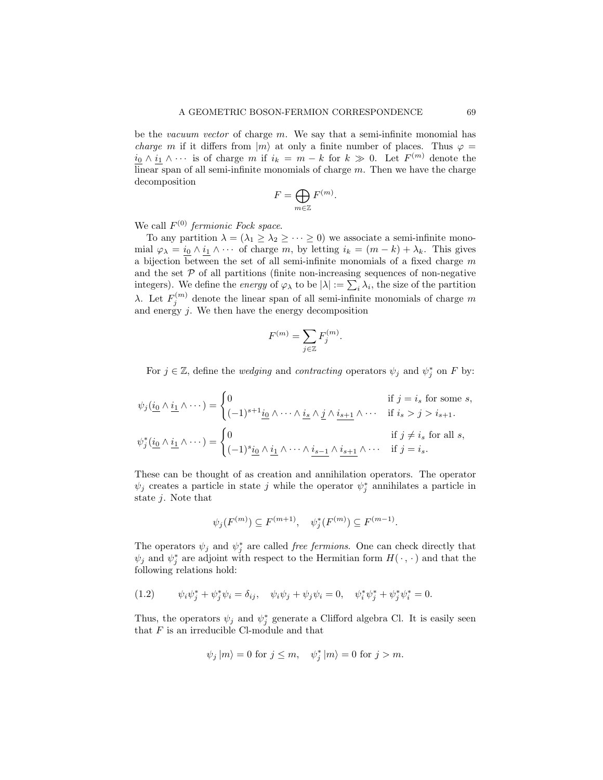be the vacuum vector of charge  $m$ . We say that a semi-infinite monomial has *charge m* if it differs from  $|m\rangle$  at only a finite number of places. Thus  $\varphi$  =  $i_0 \wedge i_1 \wedge \cdots$  is of charge m if  $i_k = m - k$  for  $k \gg 0$ . Let  $F^{(m)}$  denote the  $\overline{\text{linear}}$  span of all semi-infinite monomials of charge m. Then we have the charge decomposition

$$
F = \bigoplus_{m \in \mathbb{Z}} F^{(m)}.
$$

We call  $F^{(0)}$  fermionic Fock space.

To any partition  $\lambda = (\lambda_1 \geq \lambda_2 \geq \cdots \geq 0)$  we associate a semi-infinite monomial  $\varphi_{\lambda} = \underline{i_0} \wedge \underline{i_1} \wedge \cdots$  of charge m, by letting  $i_k = (m - k) + \lambda_k$ . This gives a bijection between the set of all semi-infinite monomials of a fixed charge  $m$ and the set  $P$  of all partitions (finite non-increasing sequences of non-negative integers). We define the *energy* of  $\varphi_{\lambda}$  to be  $|\lambda| := \sum_{i} \lambda_i$ , the size of the partition λ. Let  $F_j^{(m)}$  denote the linear span of all semi-infinite monomials of charge m and energy  $j$ . We then have the energy decomposition

$$
F^{(m)} = \sum_{j \in \mathbb{Z}} F_j^{(m)}
$$

For  $j \in \mathbb{Z}$ , define the *wedging* and *contracting* operators  $\psi_j$  and  $\psi_j^*$  on F by:

.

$$
\psi_j(\underbrace{i_0 \wedge \underbrace{i_1} \wedge \cdots}) = \begin{cases}\n0 & \text{if } j = i_s \text{ for some } s, \\
(-1)^{s+1} \underbrace{i_0} \wedge \cdots \wedge \underbrace{i_s} \wedge \underbrace{j} \wedge \underbrace{i_{s+1}} \wedge \cdots & \text{if } i_s > j > i_{s+1}.\n\end{cases}
$$
\n
$$
\psi_j^*(\underbrace{i_0} \wedge \underbrace{i_1} \wedge \cdots) = \begin{cases}\n0 & \text{if } j \neq i_s \text{ for all } s, \\
(-1)^s \underbrace{i_0} \wedge \underbrace{i_1} \wedge \cdots \wedge \underbrace{i_{s-1}} \wedge \underbrace{i_{s+1}} \wedge \cdots & \text{if } j = i_s.\n\end{cases}
$$

These can be thought of as creation and annihilation operators. The operator  $\psi_j$  creates a particle in state j while the operator  $\psi_j^*$  annihilates a particle in state  $j$ . Note that

$$
\psi_j(F^{(m)}) \subseteq F^{(m+1)}, \quad \psi_j^*(F^{(m)}) \subseteq F^{(m-1)}.
$$

The operators  $\psi_j$  and  $\psi_j^*$  are called *free fermions*. One can check directly that  $\psi_j$  and  $\psi_j^*$  are adjoint with respect to the Hermitian form  $H(\cdot, \cdot)$  and that the following relations hold:

(1.2) 
$$
\psi_i \psi_j^* + \psi_j^* \psi_i = \delta_{ij}, \quad \psi_i \psi_j + \psi_j \psi_i = 0, \quad \psi_i^* \psi_j^* + \psi_j^* \psi_i^* = 0.
$$

Thus, the operators  $\psi_j$  and  $\psi_j^*$  generate a Clifford algebra Cl. It is easily seen that  $F$  is an irreducible Cl-module and that

$$
\psi_j | m \rangle = 0
$$
 for  $j \le m$ ,  $\psi_j^* | m \rangle = 0$  for  $j > m$ .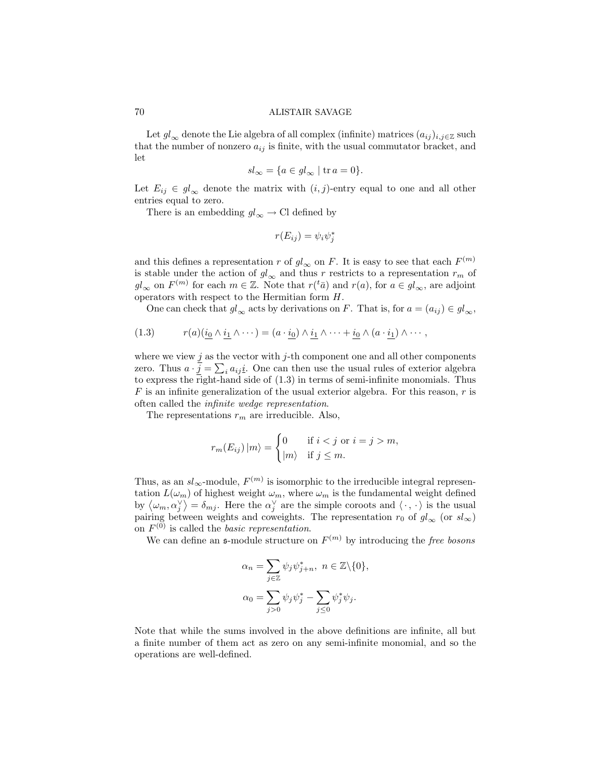Let  $gl_{\infty}$  denote the Lie algebra of all complex (infinite) matrices  $(a_{ij})_{i,j\in\mathbb{Z}}$  such that the number of nonzero  $a_{ij}$  is finite, with the usual commutator bracket, and let

$$
sl_{\infty} = \{ a \in gl_{\infty} \mid \text{tr } a = 0 \}.
$$

Let  $E_{ij} \in gl_{\infty}$  denote the matrix with  $(i, j)$ -entry equal to one and all other entries equal to zero.

There is an embedding  $gl_{\infty} \to \text{Cl}$  defined by

$$
r(E_{ij}) = \psi_i \psi_j^*
$$

and this defines a representation r of  $gl_{\infty}$  on F. It is easy to see that each  $F^{(m)}$ is stable under the action of  $gl_{\infty}$  and thus r restricts to a representation  $r_m$  of  $gl_{\infty}$  on  $F^{(m)}$  for each  $m \in \mathbb{Z}$ . Note that  $r({}^t\bar{a})$  and  $r(a)$ , for  $a \in gl_{\infty}$ , are adjoint operators with respect to the Hermitian form H.

One can check that  $gl_{\infty}$  acts by derivations on F. That is, for  $a = (a_{ij}) \in gl_{\infty}$ ,

(1.3) 
$$
r(a)(\underline{i_0} \wedge \underline{i_1} \wedge \cdots) = (a \cdot \underline{i_0}) \wedge \underline{i_1} \wedge \cdots + \underline{i_0} \wedge (a \cdot \underline{i_1}) \wedge \cdots,
$$

where we view  $j$  as the vector with  $j$ -th component one and all other components zero. Thus  $a \cdot \underline{j} = \sum_i a_{ij} \underline{i}$ . One can then use the usual rules of exterior algebra to express the right-hand side of (1.3) in terms of semi-infinite monomials. Thus  $F$  is an infinite generalization of the usual exterior algebra. For this reason,  $r$  is often called the infinite wedge representation.

The representations  $r_m$  are irreducible. Also,

$$
r_m(E_{ij}) |m\rangle = \begin{cases} 0 & \text{if } i < j \text{ or } i = j > m, \\ |m\rangle & \text{if } j \le m. \end{cases}
$$

Thus, as an  $sl_{\infty}$ -module,  $F^{(m)}$  is isomorphic to the irreducible integral representation  $L(\omega_m)$  of highest weight  $\omega_m$ , where  $\omega_m$  is the fundamental weight defined by  $\langle \omega_m, \alpha_j^{\vee} \rangle = \delta_{mj}$ . Here the  $\alpha_j^{\vee}$  are the simple coroots and  $\langle \cdot, \cdot \rangle$  is the usual pairing between weights and coweights. The representation  $r_0$  of  $gl_{\infty}$  (or  $sl_{\infty}$ ) on  $F^{(0)}$  is called the *basic representation*.

We can define an  $\mathfrak{s}$ -module structure on  $F^{(m)}$  by introducing the free bosons

$$
\alpha_n = \sum_{j \in \mathbb{Z}} \psi_j \psi_{j+n}^*, \ n \in \mathbb{Z} \setminus \{0\},
$$

$$
\alpha_0 = \sum_{j > 0} \psi_j \psi_j^* - \sum_{j \le 0} \psi_j^* \psi_j.
$$

Note that while the sums involved in the above definitions are infinite, all but a finite number of them act as zero on any semi-infinite monomial, and so the operations are well-defined.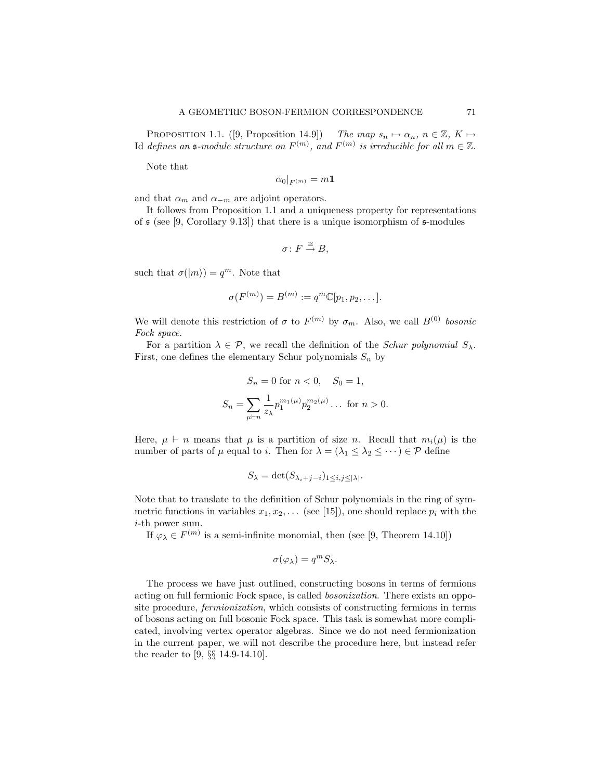PROPOSITION 1.1. ([9, Proposition 14.9]) The map  $s_n \mapsto \alpha_n, n \in \mathbb{Z}, K \mapsto$ Id defines an  $\mathfrak{s}\text{-module}$  structure on  $F^{(m)}$ , and  $F^{(m)}$  is irreducible for all  $m \in \mathbb{Z}$ .

Note that

$$
\alpha_0|_{F^{(m)}}=m\mathbf{1}
$$

and that  $\alpha_m$  and  $\alpha_{-m}$  are adjoint operators.

It follows from Proposition 1.1 and a uniqueness property for representations of  $\mathfrak s$  (see [9, Corollary 9.13]) that there is a unique isomorphism of  $\mathfrak s$ -modules

$$
\sigma\colon F\stackrel{\cong}{\to} B,
$$

such that  $\sigma(|m\rangle) = q^m$ . Note that

$$
\sigma(F^{(m)}) = B^{(m)} := q^m \mathbb{C}[p_1, p_2, \dots].
$$

We will denote this restriction of  $\sigma$  to  $F^{(m)}$  by  $\sigma_m$ . Also, we call  $B^{(0)}$  bosonic Fock space.

For a partition  $\lambda \in \mathcal{P}$ , we recall the definition of the *Schur polynomial*  $S_{\lambda}$ . First, one defines the elementary Schur polynomials  $S_n$  by

$$
S_n = 0 \text{ for } n < 0, \quad S_0 = 1,
$$
  

$$
S_n = \sum_{\mu \vdash n} \frac{1}{z_{\lambda}} p_1^{m_1(\mu)} p_2^{m_2(\mu)} \dots \text{ for } n > 0.
$$

Here,  $\mu \vdash n$  means that  $\mu$  is a partition of size n. Recall that  $m_i(\mu)$  is the number of parts of  $\mu$  equal to *i*. Then for  $\lambda = (\lambda_1 \leq \lambda_2 \leq \cdots) \in \mathcal{P}$  define

$$
S_{\lambda} = \det(S_{\lambda_i + j - i})_{1 \le i, j \le |\lambda|}.
$$

Note that to translate to the definition of Schur polynomials in the ring of symmetric functions in variables  $x_1, x_2, \ldots$  (see [15]), one should replace  $p_i$  with the i-th power sum.

If  $\varphi_{\lambda} \in F^{(m)}$  is a semi-infinite monomial, then (see [9, Theorem 14.10])

$$
\sigma(\varphi_{\lambda}) = q^m S_{\lambda}.
$$

The process we have just outlined, constructing bosons in terms of fermions acting on full fermionic Fock space, is called bosonization. There exists an opposite procedure, fermionization, which consists of constructing fermions in terms of bosons acting on full bosonic Fock space. This task is somewhat more complicated, involving vertex operator algebras. Since we do not need fermionization in the current paper, we will not describe the procedure here, but instead refer the reader to [9, §§ 14.9-14.10].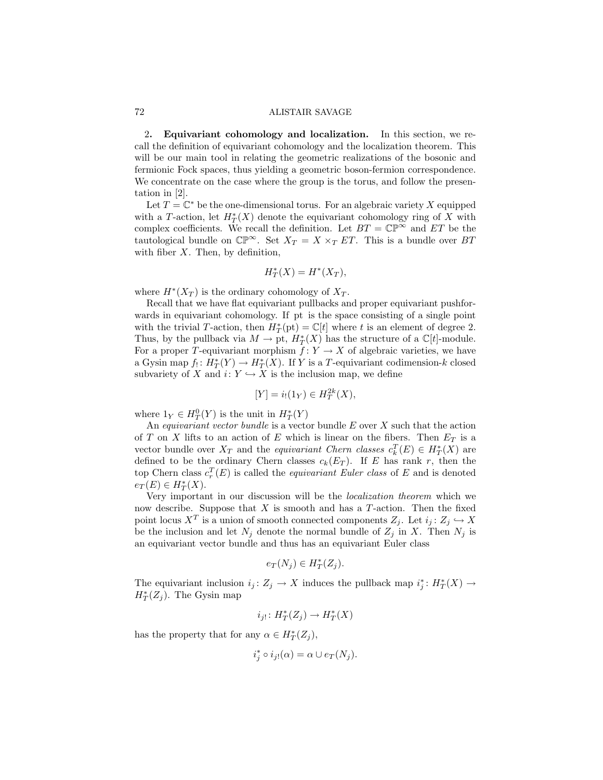2. Equivariant cohomology and localization. In this section, we recall the definition of equivariant cohomology and the localization theorem. This will be our main tool in relating the geometric realizations of the bosonic and fermionic Fock spaces, thus yielding a geometric boson-fermion correspondence. We concentrate on the case where the group is the torus, and follow the presentation in [2].

Let  $T = \mathbb{C}^*$  be the one-dimensional torus. For an algebraic variety X equipped with a T-action, let  $H^*_T(X)$  denote the equivariant cohomology ring of X with complex coefficients. We recall the definition. Let  $BT = \mathbb{CP}^{\infty}$  and  $ET$  be the tautological bundle on  $\mathbb{CP}^{\infty}$ . Set  $X_T = X \times_T ET$ . This is a bundle over BT with fiber  $X$ . Then, by definition,

$$
H^*_T(X) = H^*(X_T),
$$

where  $H^*(X_T)$  is the ordinary cohomology of  $X_T$ .

Recall that we have flat equivariant pullbacks and proper equivariant pushforwards in equivariant cohomology. If pt is the space consisting of a single point with the trivial T-action, then  $H^*_{T}(\text{pt}) = \mathbb{C}[t]$  where t is an element of degree 2. Thus, by the pullback via  $M \to \text{pt}$ ,  $H^*_T(X)$  has the structure of a  $\mathbb{C}[t]$ -module. For a proper T-equivariant morphism  $f: Y \to X$  of algebraic varieties, we have a Gysin map  $f_! : H^*_T(Y) \to H^*_T(X)$ . If Y is a T-equivariant codimension-k closed subvariety of X and  $i: Y \hookrightarrow X$  is the inclusion map, we define

$$
[Y] = i_!(1_Y) \in H_T^{2k}(X),
$$

where  $1_Y \in H^0_T(Y)$  is the unit in  $H^*_T(Y)$ 

An *equivariant vector bundle* is a vector bundle  $E$  over  $X$  such that the action of T on X lifts to an action of E which is linear on the fibers. Then  $E_T$  is a vector bundle over  $X_T$  and the *equivariant Chern classes*  $c_k^T(E) \in H_T^*(X)$  are defined to be the ordinary Chern classes  $c_k(E_T)$ . If E has rank r, then the top Chern class  $c_r^T(E)$  is called the *equivariant Euler class* of E and is denoted  $e_T(E) \in H^*_T(X)$ .

Very important in our discussion will be the localization theorem which we now describe. Suppose that  $X$  is smooth and has a  $T$ -action. Then the fixed point locus  $X^T$  is a union of smooth connected components  $Z_j$ . Let  $i_j: Z_j \hookrightarrow X$ be the inclusion and let  $N_j$  denote the normal bundle of  $Z_j$  in X. Then  $N_j$  is an equivariant vector bundle and thus has an equivariant Euler class

$$
e_T(N_j) \in H^*_T(Z_j).
$$

The equivariant inclusion  $i_j: Z_j \to X$  induces the pullback map  $i_j^*: H^*_T(X) \to$  $H^*_T(Z_j)$ . The Gysin map

$$
i_{j!} \colon H^*_T(Z_j) \to H^*_T(X)
$$

has the property that for any  $\alpha \in H^*_T(Z_j)$ ,

$$
i_j^* \circ i_{j!}(\alpha) = \alpha \cup e_T(N_j).
$$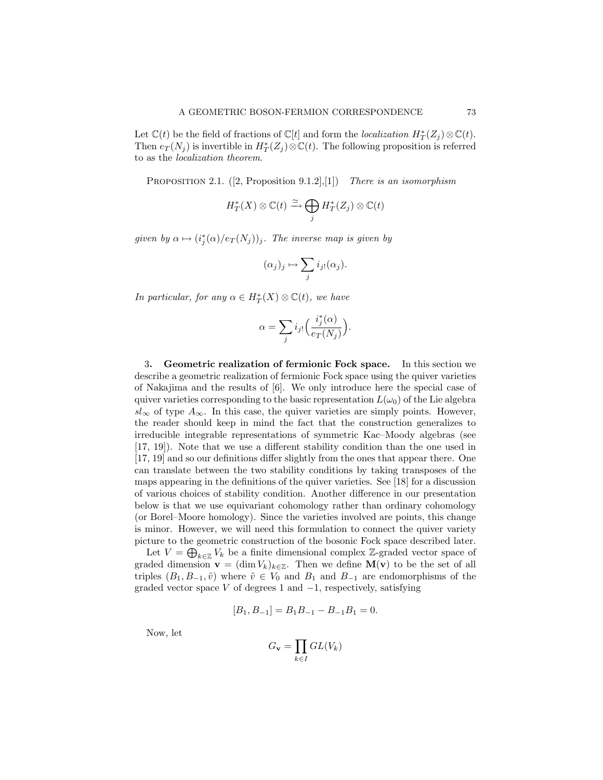Let  $\mathbb{C}(t)$  be the field of fractions of  $\mathbb{C}[t]$  and form the *localization*  $H^*_T(Z_j) \otimes \mathbb{C}(t)$ . Then  $e_T(N_j)$  is invertible in  $H^*_T(Z_j) \otimes \mathbb{C}(t)$ . The following proposition is referred to as the localization theorem.

PROPOSITION 2.1.  $([2, Proposition 9.1.2], [1])$  There is an isomorphism

$$
H^*_T(X)\otimes \mathbb{C}(t) \xrightarrow{\simeq} \bigoplus_j H^*_T(Z_j)\otimes \mathbb{C}(t)
$$

given by  $\alpha \mapsto (i_j^*(\alpha)/e_T(N_j))_j$ . The inverse map is given by

$$
(\alpha_j)_j \mapsto \sum_j i_{j!}(\alpha_j).
$$

In particular, for any  $\alpha \in H^*_T(X) \otimes \mathbb{C}(t)$ , we have

$$
\alpha = \sum_{j} i_{j!} \Big( \frac{i_j^*(\alpha)}{e_T(N_j)} \Big).
$$

3. Geometric realization of fermionic Fock space. In this section we describe a geometric realization of fermionic Fock space using the quiver varieties of Nakajima and the results of [6]. We only introduce here the special case of quiver varieties corresponding to the basic representation  $L(\omega_0)$  of the Lie algebra  $sl_{\infty}$  of type  $A_{\infty}$ . In this case, the quiver varieties are simply points. However, the reader should keep in mind the fact that the construction generalizes to irreducible integrable representations of symmetric Kac–Moody algebras (see [17, 19]). Note that we use a different stability condition than the one used in [17, 19] and so our definitions differ slightly from the ones that appear there. One can translate between the two stability conditions by taking transposes of the maps appearing in the definitions of the quiver varieties. See [18] for a discussion of various choices of stability condition. Another difference in our presentation below is that we use equivariant cohomology rather than ordinary cohomology (or Borel–Moore homology). Since the varieties involved are points, this change is minor. However, we will need this formulation to connect the quiver variety picture to the geometric construction of the bosonic Fock space described later.

Let  $V = \bigoplus_{k \in \mathbb{Z}} V_k$  be a finite dimensional complex Z-graded vector space of graded dimension  $\mathbf{v} = (\dim V_k)_{k \in \mathbb{Z}}$ . Then we define  $\mathbf{M}(\mathbf{v})$  to be the set of all triples  $(B_1, B_{-1}, \tilde{v})$  where  $\tilde{v} \in V_0$  and  $B_1$  and  $B_{-1}$  are endomorphisms of the graded vector space V of degrees 1 and  $-1$ , respectively, satisfying

$$
[B_1, B_{-1}] = B_1 B_{-1} - B_{-1} B_1 = 0.
$$

Now, let

$$
G_{\mathbf{v}} = \prod_{k \in I} GL(V_k)
$$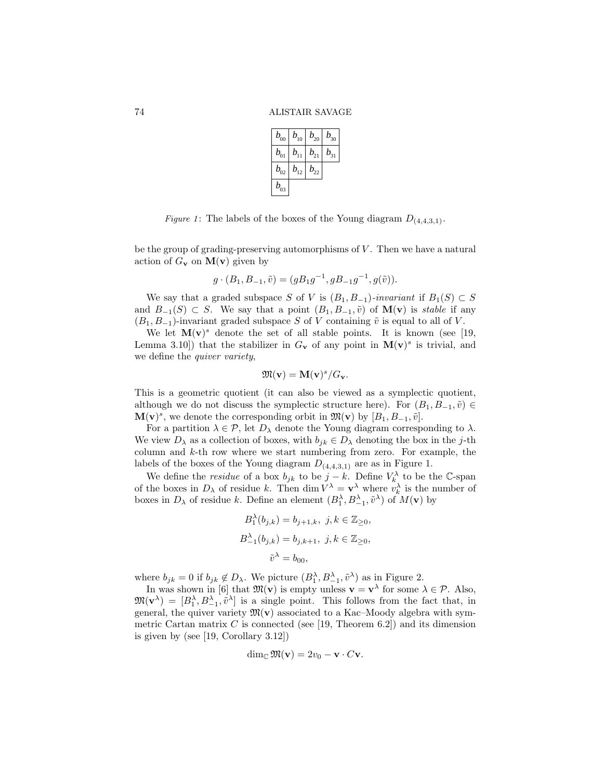| $b_{00}$                       | $b_{10}$ | $b_{20}$                    | $b_{30}$ |
|--------------------------------|----------|-----------------------------|----------|
| $b_{\scriptscriptstyle 01}$    | $b_{11}$ | $b_{21}$                    | $b_{31}$ |
| $b_{\scriptscriptstyle 02}^{}$ | $b_{12}$ | $b_{\scriptscriptstyle 22}$ |          |
| $b_{03}$                       |          |                             |          |

Figure 1: The labels of the boxes of the Young diagram  $D_{(4,4,3,1)}$ .

be the group of grading-preserving automorphisms of  $V$ . Then we have a natural action of  $G_{\mathbf{v}}$  on  $\mathbf{M}(\mathbf{v})$  given by

$$
g \cdot (B_1, B_{-1}, \tilde{v}) = (g B_1 g^{-1}, g B_{-1} g^{-1}, g(\tilde{v})).
$$

We say that a graded subspace S of V is  $(B_1, B_{-1})$ -invariant if  $B_1(S) \subset S$ and  $B_{-1}(S) \subset S$ . We say that a point  $(B_1, B_{-1}, \tilde{v})$  of  $\mathbf{M}(v)$  is stable if any  $(B_1, B_{-1})$ -invariant graded subspace S of V containing  $\tilde{v}$  is equal to all of V.

We let  $\mathbf{M}(\mathbf{v})^s$  denote the set of all stable points. It is known (see [19, Lemma 3.10]) that the stabilizer in  $G_v$  of any point in  $M(v)^s$  is trivial, and we define the quiver variety,

$$
\mathfrak{M}(\mathbf{v})=\mathbf{M}(\mathbf{v})^s/G_{\mathbf{v}}.
$$

This is a geometric quotient (it can also be viewed as a symplectic quotient, although we do not discuss the symplectic structure here). For  $(B_1, B_{-1}, \tilde{v}) \in$  $\mathbf{M}(\mathbf{v})^s$ , we denote the corresponding orbit in  $\mathfrak{M}(\mathbf{v})$  by  $[B_1, B_{-1}, \tilde{v}]$ .

For a partition  $\lambda \in \mathcal{P}$ , let  $D_{\lambda}$  denote the Young diagram corresponding to  $\lambda$ . We view  $D_{\lambda}$  as a collection of boxes, with  $b_{jk} \in D_{\lambda}$  denoting the box in the j-th column and  $k$ -th row where we start numbering from zero. For example, the labels of the boxes of the Young diagram  $D_{(4,4,3,1)}$  are as in Figure 1.

We define the *residue* of a box  $b_{jk}$  to be  $j - k$ . Define  $V_k^{\lambda}$  to be the C-span of the boxes in  $D_{\lambda}$  of residue k. Then dim  $V^{\lambda} = \mathbf{v}^{\lambda}$  where  $v_k^{\lambda}$  is the number of boxes in  $D_{\lambda}$  of residue k. Define an element  $(B_1^{\lambda}, B_{-1}^{\lambda}, \tilde{v}^{\lambda})$  of  $M(\mathbf{v})$  by

$$
B_1^{\lambda}(b_{j,k}) = b_{j+1,k}, \ j, k \in \mathbb{Z}_{\geq 0},
$$
  

$$
B_{-1}^{\lambda}(b_{j,k}) = b_{j,k+1}, \ j, k \in \mathbb{Z}_{\geq 0},
$$
  

$$
\tilde{v}^{\lambda} = b_{00},
$$

where  $b_{jk} = 0$  if  $b_{jk} \notin D_\lambda$ . We picture  $(B_1^\lambda, B_{-1}^\lambda, \tilde{v}^\lambda)$  as in Figure 2.

In was shown in [6] that  $\mathfrak{M}(\mathbf{v})$  is empty unless  $\mathbf{v} = \mathbf{v}^{\lambda}$  for some  $\lambda \in \mathcal{P}$ . Also,  $\mathfrak{M}(\mathbf{v}^{\lambda}) = [B_1^{\lambda}, B_{-1}^{\lambda}, \tilde{v}^{\lambda}]$  is a single point. This follows from the fact that, in general, the quiver variety  $\mathfrak{M}(\mathbf{v})$  associated to a Kac–Moody algebra with symmetric Cartan matrix C is connected (see [19, Theorem 6.2]) and its dimension is given by (see [19, Corollary 3.12])

$$
\dim_{\mathbb{C}}\mathfrak{M}(\mathbf{v})=2v_0-\mathbf{v}\cdot C\mathbf{v}.
$$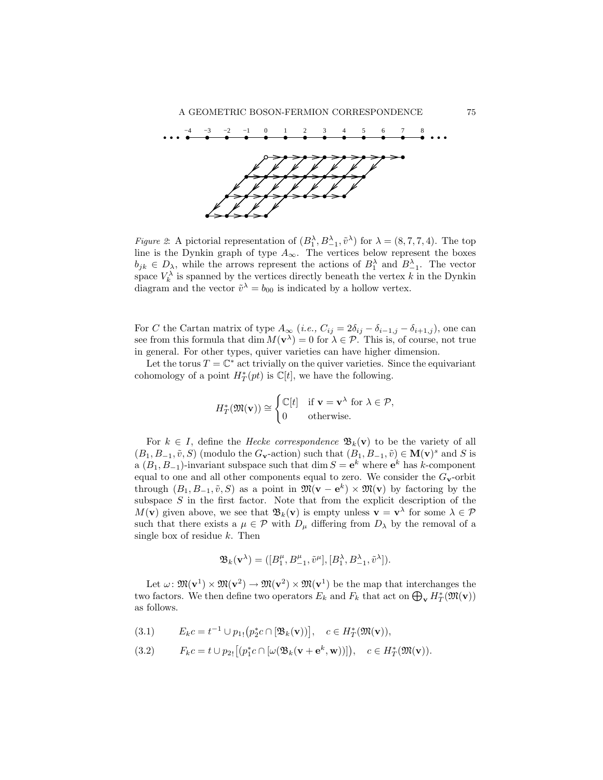

*Figure 2*: A pictorial representation of  $(B_1^{\lambda}, B_{-1}^{\lambda}, \tilde{v}^{\lambda})$  for  $\lambda = (8, 7, 7, 4)$ . The top line is the Dynkin graph of type  $A_{\infty}$ . The vertices below represent the boxes  $b_{jk} \in D_{\lambda}$ , while the arrows represent the actions of  $B_1^{\lambda}$  and  $B_{-1}^{\lambda}$ . The vector space  $V_k^{\lambda}$  is spanned by the vertices directly beneath the vertex k in the Dynkin diagram and the vector  $\tilde{v}^{\lambda} = b_{00}$  is indicated by a hollow vertex.

For C the Cartan matrix of type  $A_{\infty}$  (i.e.,  $C_{ij} = 2\delta_{ij} - \delta_{i-1,j} - \delta_{i+1,j}$ ), one can see from this formula that dim  $M(\mathbf{v}^{\lambda}) = 0$  for  $\lambda \in \mathcal{P}$ . This is, of course, not true in general. For other types, quiver varieties can have higher dimension.

Let the torus  $T = \mathbb{C}^*$  act trivially on the quiver varieties. Since the equivariant cohomology of a point  $H^*_T(pt)$  is  $\mathbb{C}[t]$ , we have the following.

$$
H^*_{T}(\mathfrak{M}(\mathbf{v})) \cong \begin{cases} \mathbb{C}[t] & \text{if } \mathbf{v} = \mathbf{v}^\lambda \text{ for } \lambda \in \mathcal{P}, \\ 0 & \text{otherwise.} \end{cases}
$$

For  $k \in I$ , define the *Hecke correspondence*  $\mathfrak{B}_k(\mathbf{v})$  to be the variety of all  $(B_1, B_{-1}, \tilde{v}, S)$  (modulo the  $G_v$ -action) such that  $(B_1, B_{-1}, \tilde{v}) \in M(v)^s$  and S is a  $(B_1, B_{-1})$ -invariant subspace such that  $\dim S = e^k$  where  $e^k$  has k-component equal to one and all other components equal to zero. We consider the  $G_v$ -orbit through  $(B_1, B_{-1}, \tilde{v}, S)$  as a point in  $\mathfrak{M}(\mathbf{v} - \mathbf{e}^k) \times \mathfrak{M}(\mathbf{v})$  by factoring by the subspace  $S$  in the first factor. Note that from the explicit description of the  $M(\mathbf{v})$  given above, we see that  $\mathfrak{B}_k(\mathbf{v})$  is empty unless  $\mathbf{v} = \mathbf{v}^{\lambda}$  for some  $\lambda \in \mathcal{P}$ such that there exists a  $\mu \in \mathcal{P}$  with  $D_{\mu}$  differing from  $D_{\lambda}$  by the removal of a single box of residue  $k$ . Then

$$
\mathfrak{B}_k(\mathbf{v}^\lambda) = ([B_1^\mu, B_{-1}^\mu, \tilde{v}^\mu], [B_1^\lambda, B_{-1}^\lambda, \tilde{v}^\lambda]).
$$

Let  $\omega: \mathfrak{M}(\mathbf{v}^1) \times \mathfrak{M}(\mathbf{v}^2) \to \mathfrak{M}(\mathbf{v}^2) \times \mathfrak{M}(\mathbf{v}^1)$  be the map that interchanges the two factors. We then define two operators  $E_k$  and  $F_k$  that act on  $\bigoplus_{\mathbf{v}} H_T^*(\mathfrak{M}(\mathbf{v}))$ as follows.

$$
(3.1) \t E_k c = t^{-1} \cup p_{1!} (p_2^* c \cap [\mathfrak{B}_k(\mathbf{v}))], \quad c \in H_T^*(\mathfrak{M}(\mathbf{v})),
$$

(3.2) 
$$
F_k c = t \cup p_{2!} [(p_1^* c \cap [\omega(\mathfrak{B}_k(\mathbf{v} + \mathbf{e}^k, \mathbf{w}))]), \quad c \in H_T^*(\mathfrak{M}(\mathbf{v})).
$$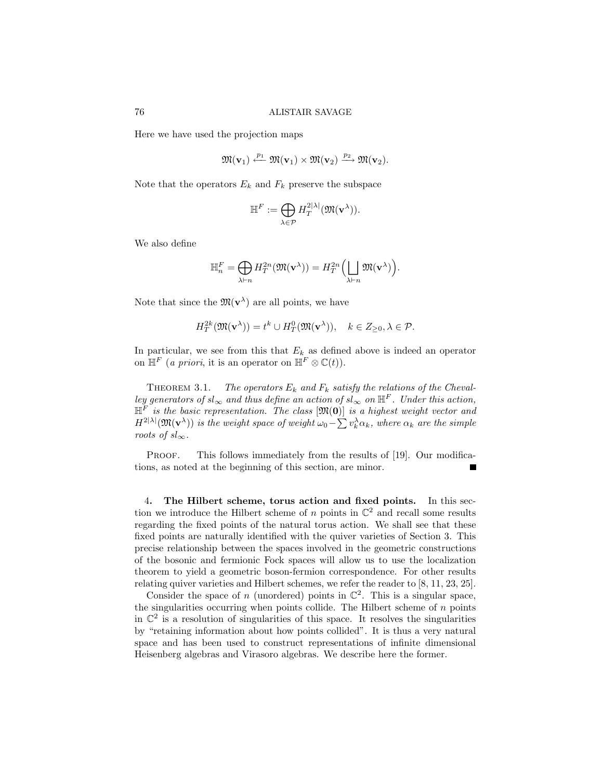Here we have used the projection maps

$$
\mathfrak{M}(\mathbf{v}_1)\stackrel{p_1}{\longleftarrow}\mathfrak{M}(\mathbf{v}_1)\times\mathfrak{M}(\mathbf{v}_2)\stackrel{p_2}{\longrightarrow}\mathfrak{M}(\mathbf{v}_2).
$$

Note that the operators  $E_k$  and  $F_k$  preserve the subspace

$$
\mathbb{H}^F := \bigoplus_{\lambda \in \mathcal{P}} H_T^{2|\lambda|}(\mathfrak{M}(\mathbf{v}^{\lambda})).
$$

We also define

$$
\mathbb{H}_n^F = \bigoplus_{\lambda \vdash n} H_T^{2n}(\mathfrak{M}(\mathbf{v}^{\lambda})) = H_T^{2n}\Big(\bigsqcup_{\lambda \vdash n} \mathfrak{M}(\mathbf{v}^{\lambda})\Big).
$$

Note that since the  $\mathfrak{M}(\mathbf{v}^{\lambda})$  are all points, we have

$$
H_T^{2k}(\mathfrak{M}(\mathbf{v}^{\lambda})) = t^k \cup H_T^0(\mathfrak{M}(\mathbf{v}^{\lambda})), \quad k \in Z_{\geq 0}, \lambda \in \mathcal{P}.
$$

In particular, we see from this that  $E_k$  as defined above is indeed an operator on  $\mathbb{H}^F$  (a priori, it is an operator on  $\mathbb{H}^F \otimes \mathbb{C}(t)$ ).

THEOREM 3.1. The operators  $E_k$  and  $F_k$  satisfy the relations of the Chevalley generators of  $sl_{\infty}$  and thus define an action of  $sl_{\infty}$  on  $\mathbb{H}^F$ . Under this action,  $\mathbb{H}^F$  is the basic representation. The class  $[\mathfrak{M}(0)]$  is a highest weight vector and  $H^{2|\lambda|}(\mathfrak{M}(\mathbf{v}^{\lambda}))$  is the weight space of weight  $\omega_0-\sum v_k^{\lambda}\alpha_k,$  where  $\alpha_k$  are the simple roots of  $sl_{\infty}$ .

PROOF. This follows immediately from the results of [19]. Our modifications, as noted at the beginning of this section, are minor.

4. The Hilbert scheme, torus action and fixed points. In this section we introduce the Hilbert scheme of  $n$  points in  $\mathbb{C}^2$  and recall some results regarding the fixed points of the natural torus action. We shall see that these fixed points are naturally identified with the quiver varieties of Section 3. This precise relationship between the spaces involved in the geometric constructions of the bosonic and fermionic Fock spaces will allow us to use the localization theorem to yield a geometric boson-fermion correspondence. For other results relating quiver varieties and Hilbert schemes, we refer the reader to [8, 11, 23, 25].

Consider the space of n (unordered) points in  $\mathbb{C}^2$ . This is a singular space, the singularities occurring when points collide. The Hilbert scheme of  $n$  points in  $\mathbb{C}^2$  is a resolution of singularities of this space. It resolves the singularities by "retaining information about how points collided". It is thus a very natural space and has been used to construct representations of infinite dimensional Heisenberg algebras and Virasoro algebras. We describe here the former.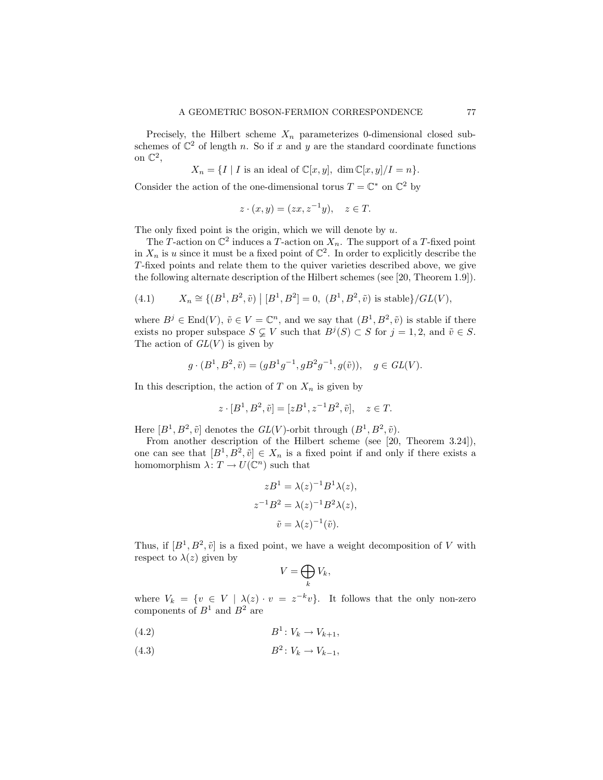Precisely, the Hilbert scheme  $X_n$  parameterizes 0-dimensional closed subschemes of  $\mathbb{C}^2$  of length n. So if x and y are the standard coordinate functions on  $\mathbb{C}^2$ ,

$$
X_n = \{I \mid I \text{ is an ideal of } \mathbb{C}[x, y], \dim \mathbb{C}[x, y]/I = n\}.
$$

Consider the action of the one-dimensional torus  $T = \mathbb{C}^*$  on  $\mathbb{C}^2$  by

$$
z \cdot (x, y) = (zx, z^{-1}y), \quad z \in T.
$$

The only fixed point is the origin, which we will denote by  $u$ .

The T-action on  $\mathbb{C}^2$  induces a T-action on  $X_n$ . The support of a T-fixed point in  $X_n$  is u since it must be a fixed point of  $\mathbb{C}^2$ . In order to explicitly describe the T-fixed points and relate them to the quiver varieties described above, we give the following alternate description of the Hilbert schemes (see [20, Theorem 1.9]).

(4.1) 
$$
X_n \cong \{(B^1, B^2, \tilde{v}) \mid [B^1, B^2] = 0, (B^1, B^2, \tilde{v}) \text{ is stable}\}/GL(V),
$$

where  $B^j \in \text{End}(V)$ ,  $\tilde{v} \in V = \mathbb{C}^n$ , and we say that  $(B^1, B^2, \tilde{v})$  is stable if there exists no proper subspace  $S \subsetneq V$  such that  $B<sup>j</sup>(S) \subset S$  for  $j = 1, 2$ , and  $\tilde{v} \in S$ . The action of  $GL(V)$  is given by

$$
g \cdot (B^1, B^2, \tilde{v}) = (gB^1g^{-1}, gB^2g^{-1}, g(\tilde{v})), \quad g \in GL(V).
$$

In this description, the action of T on  $X_n$  is given by

$$
z \cdot [B^1, B^2, \tilde{v}] = [zB^1, z^{-1}B^2, \tilde{v}], \quad z \in T.
$$

Here  $[B^1, B^2, \tilde{v}]$  denotes the  $GL(V)$ -orbit through  $(B^1, B^2, \tilde{v})$ .

From another description of the Hilbert scheme (see [20, Theorem 3.24]), one can see that  $[B^1, B^2, \tilde{v}] \in X_n$  is a fixed point if and only if there exists a homomorphism  $\lambda: T \to U(\mathbb{C}^n)$  such that

$$
zB^1 = \lambda(z)^{-1}B^1\lambda(z),
$$
  
\n
$$
z^{-1}B^2 = \lambda(z)^{-1}B^2\lambda(z),
$$
  
\n
$$
\tilde{v} = \lambda(z)^{-1}(\tilde{v}).
$$

Thus, if  $[B^1, B^2, \tilde{v}]$  is a fixed point, we have a weight decomposition of V with respect to  $\lambda(z)$  given by

$$
V=\bigoplus_k V_k,
$$

where  $V_k = \{v \in V \mid \lambda(z) \cdot v = z^{-k}v\}$ . It follows that the only non-zero components of  $B^1$  and  $B^2$  are

$$
(4.2) \t\t\t B1: Vk \to Vk+1,
$$

$$
(4.3) \t\t B^2: V_k \to V_{k-1},
$$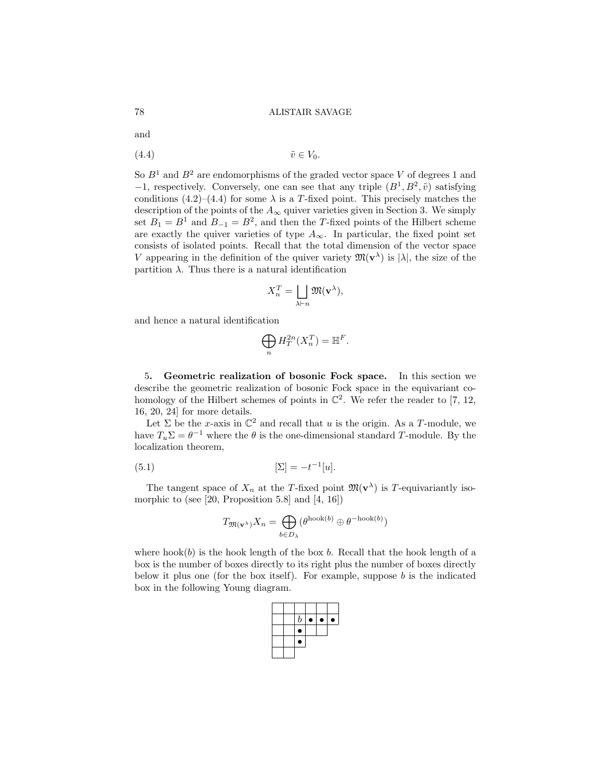and

$$
(4.4) \t\t\t \tilde{v} \in V_0.
$$

So  $B<sup>1</sup>$  and  $B<sup>2</sup>$  are endomorphisms of the graded vector space V of degrees 1 and  $-1$ , respectively. Conversely, one can see that any triple  $(B^1, B^2, \tilde{v})$  satisfying conditions (4.2)–(4.4) for some  $\lambda$  is a T-fixed point. This precisely matches the description of the points of the  $A_{\infty}$  quiver varieties given in Section 3. We simply set  $B_1 = B^1$  and  $B_{-1} = B^2$ , and then the T-fixed points of the Hilbert scheme are exactly the quiver varieties of type  $A_{\infty}$ . In particular, the fixed point set consists of isolated points. Recall that the total dimension of the vector space V appearing in the definition of the quiver variety  $\mathfrak{M}(\mathbf{v}^{\lambda})$  is  $|\lambda|$ , the size of the partition  $\lambda$ . Thus there is a natural identification

$$
X_n^T = \bigsqcup_{\lambda \vdash n} \mathfrak{M}(\mathbf{v}^{\lambda}),
$$

and hence a natural identification

$$
\bigoplus_n H^{2n}_T(X_n^T) = \mathbb{H}^F.
$$

5. Geometric realization of bosonic Fock space. In this section we describe the geometric realization of bosonic Fock space in the equivariant cohomology of the Hilbert schemes of points in  $\mathbb{C}^2$ . We refer the reader to [7, 12, 16, 20, 24] for more details.

Let  $\Sigma$  be the x-axis in  $\mathbb{C}^2$  and recall that u is the origin. As a T-module, we have  $T_u \Sigma = \theta^{-1}$  where the  $\theta$  is the one-dimensional standard T-module. By the localization theorem,

$$
(5.1)\qquad \qquad [\Sigma] = -t^{-1}[u].
$$

The tangent space of  $X_n$  at the T-fixed point  $\mathfrak{M}(\mathbf{v}^{\lambda})$  is T-equivariantly isomorphic to (see [20, Proposition 5.8] and [4, 16])

$$
T_{\mathfrak{M}(\mathbf{v}^{\lambda})}X_n = \bigoplus_{b \in D_{\lambda}} (\theta^{\text{hook}(b)} \oplus \theta^{-\text{hook}(b)})
$$

where  $hook(b)$  is the hook length of the box b. Recall that the hook length of a box is the number of boxes directly to its right plus the number of boxes directly below it plus one (for the box itself). For example, suppose  $b$  is the indicated box in the following Young diagram.

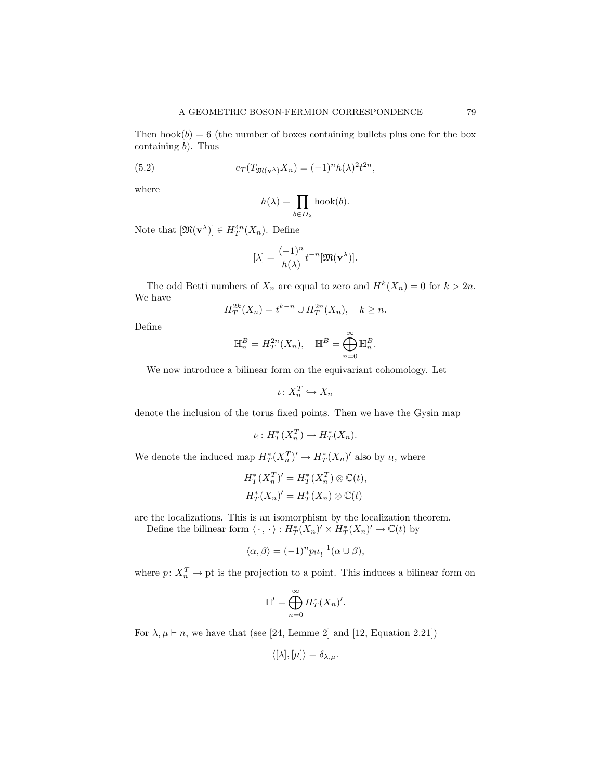Then  $hook(b) = 6$  (the number of boxes containing bullets plus one for the box containing  $b$ ). Thus

(5.2) 
$$
e_T(T_{\mathfrak{M}(\mathbf{v}^{\lambda})}X_n) = (-1)^n h(\lambda)^2 t^{2n},
$$

where

$$
h(\lambda) = \prod_{b \in D_{\lambda}} \text{hook}(b).
$$

Note that  $[\mathfrak{M}(\mathbf{v}^{\lambda})] \in H_T^{4n}(X_n)$ . Define

$$
[\lambda] = \frac{(-1)^n}{h(\lambda)} t^{-n} [\mathfrak{M}(\mathbf{v}^{\lambda})].
$$

The odd Betti numbers of  $X_n$  are equal to zero and  $H^k(X_n) = 0$  for  $k > 2n$ . We have

$$
H_T^{2k}(X_n) = t^{k-n} \cup H_T^{2n}(X_n), \quad k \ge n.
$$

Define

$$
\mathbb{H}_n^B = H_T^{2n}(X_n), \quad \mathbb{H}^B = \bigoplus_{n=0}^{\infty} \mathbb{H}_n^B.
$$

We now introduce a bilinear form on the equivariant cohomology. Let

$$
\iota\colon X_n^T\hookrightarrow X_n
$$

denote the inclusion of the torus fixed points. Then we have the Gysin map

$$
\iota_! \colon H^*_T(X_n^T) \to H^*_T(X_n).
$$

We denote the induced map  $H^*_T(X_n^T)' \to H^*_T(X_n)'$  also by  $\iota_!$ , where

$$
H_T^*(X_n^T)' = H_T^*(X_n^T) \otimes \mathbb{C}(t),
$$
  

$$
H_T^*(X_n)' = H_T^*(X_n) \otimes \mathbb{C}(t)
$$

are the localizations. This is an isomorphism by the localization theorem.

Define the bilinear form  $\langle \cdot, \cdot \rangle : H^*_T(X_n)' \times H^*_T(X_n)' \to \mathbb{C}(t)$  by

$$
\langle \alpha, \beta \rangle = (-1)^n p_! \iota_!^{-1} (\alpha \cup \beta),
$$

where  $p: X_n^T \to \text{pt}$  is the projection to a point. This induces a bilinear form on

$$
\mathbb{H}' = \bigoplus_{n=0}^{\infty} H_T^*(X_n)'
$$

For  $\lambda, \mu \vdash n$ , we have that (see [24, Lemme 2] and [12, Equation 2.21])

$$
\langle [\lambda], [\mu] \rangle = \delta_{\lambda,\mu}.
$$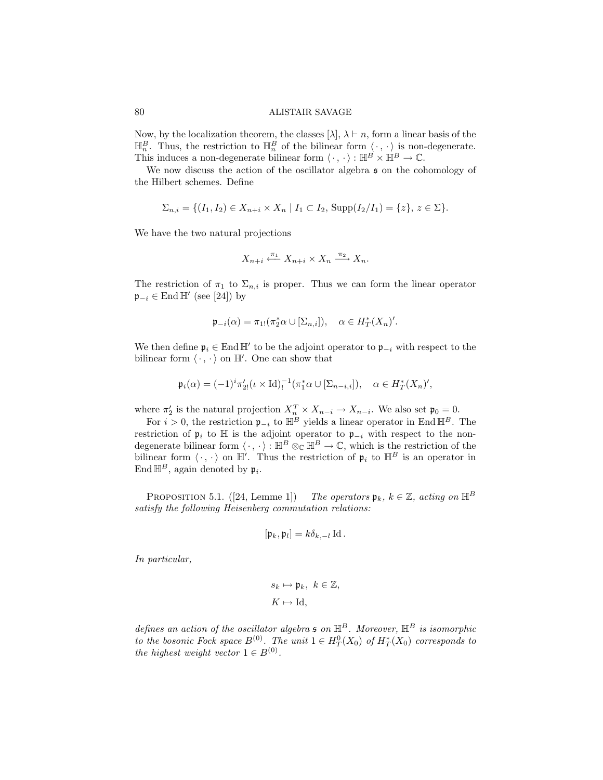Now, by the localization theorem, the classes  $[\lambda], \lambda \vdash n$ , form a linear basis of the  $\mathbb{H}_n^B$ . Thus, the restriction to  $\mathbb{H}_n^B$  of the bilinear form  $\langle \cdot, \cdot \rangle$  is non-degenerate. This induces a non-degenerate bilinear form  $\langle \cdot, \cdot \rangle : \mathbb{H}^B \times \mathbb{H}^B \to \mathbb{C}$ .

We now discuss the action of the oscillator algebra  $\mathfrak s$  on the cohomology of the Hilbert schemes. Define

$$
\Sigma_{n,i} = \{ (I_1, I_2) \in X_{n+i} \times X_n \mid I_1 \subset I_2, \text{Supp}(I_2/I_1) = \{ z \}, z \in \Sigma \}.
$$

We have the two natural projections

$$
X_{n+i} \xleftarrow{\pi_1} X_{n+i} \times X_n \xrightarrow{\pi_2} X_n.
$$

The restriction of  $\pi_1$  to  $\Sigma_{n,i}$  is proper. Thus we can form the linear operator  $\mathfrak{p}_{-i} \in \text{End }\mathbb{H}'$  (see [24]) by

$$
\mathfrak{p}_{-i}(\alpha) = \pi_{1!}(\pi_2^*\alpha \cup [\Sigma_{n,i}]), \quad \alpha \in H_T^*(X_n)'
$$

We then define  $\mathfrak{p}_i \in \text{End } \mathbb{H}'$  to be the adjoint operator to  $\mathfrak{p}_{-i}$  with respect to the bilinear form  $\langle \cdot, \cdot \rangle$  on  $\mathbb{H}'$ . One can show that

$$
\mathfrak{p}_i(\alpha) = (-1)^i \pi'_{2!}(\iota \times \mathrm{Id})^{-1}_! (\pi_1^* \alpha \cup [\Sigma_{n-i,i}]), \quad \alpha \in H_T^*(X_n)',
$$

where  $\pi'_2$  is the natural projection  $X_n^T \times X_{n-i} \to X_{n-i}$ . We also set  $\mathfrak{p}_0 = 0$ .

For  $i > 0$ , the restriction  $\mathfrak{p}_{-i}$  to  $\mathbb{H}^B$  yields a linear operator in End  $\mathbb{H}^B$ . The restriction of  $\mathfrak{p}_i$  to  $\mathbb H$  is the adjoint operator to  $\mathfrak{p}_{-i}$  with respect to the nondegenerate bilinear form  $\langle \cdot, \cdot \rangle : \mathbb{H}^B \otimes_{\mathbb{C}} \mathbb{H}^B \to \mathbb{C}$ , which is the restriction of the bilinear form  $\langle \cdot, \cdot \rangle$  on  $\mathbb{H}'$ . Thus the restriction of  $\mathfrak{p}_i$  to  $\mathbb{H}^B$  is an operator in End  $\mathbb{H}^B$ , again denoted by  $\mathfrak{p}_i$ .

PROPOSITION 5.1. ([24, Lemme 1]) The operators  $\mathfrak{p}_k$ ,  $k \in \mathbb{Z}$ , acting on  $\mathbb{H}^B$ satisfy the following Heisenberg commutation relations:

$$
[\mathfrak{p}_k, \mathfrak{p}_l] = k \delta_{k, -l} \operatorname{Id}.
$$

In particular,

$$
s_k \mapsto \mathfrak{p}_k, \ k \in \mathbb{Z},
$$

$$
K \mapsto \text{Id},
$$

defines an action of the oscillator algebra  $\mathfrak s$  on  $\mathbb H^B$ . Moreover,  $\mathbb H^B$  is isomorphic to the bosonic Fock space  $B^{(0)}$ . The unit  $1 \in H_T^0(X_0)$  of  $H_T^*(X_0)$  corresponds to the highest weight vector  $1 \in B^{(0)}$ .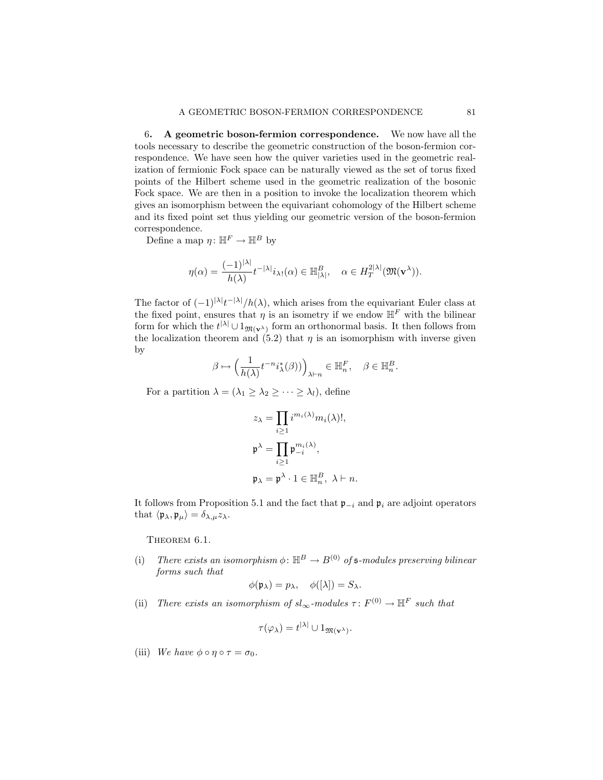## A GEOMETRIC BOSON-FERMION CORRESPONDENCE 81

6. A geometric boson-fermion correspondence. We now have all the tools necessary to describe the geometric construction of the boson-fermion correspondence. We have seen how the quiver varieties used in the geometric realization of fermionic Fock space can be naturally viewed as the set of torus fixed points of the Hilbert scheme used in the geometric realization of the bosonic Fock space. We are then in a position to invoke the localization theorem which gives an isomorphism between the equivariant cohomology of the Hilbert scheme and its fixed point set thus yielding our geometric version of the boson-fermion correspondence.

Define a map  $\eta: \mathbb{H}^F \to \mathbb{H}^B$  by

$$
\eta(\alpha) = \frac{(-1)^{|\lambda|}}{h(\lambda)} t^{-|\lambda|} i_{\lambda!}(\alpha) \in \mathbb{H}^B_{|\lambda|}, \quad \alpha \in H^{2|\lambda|}_T(\mathfrak{M}(\mathbf{v}^{\lambda})).
$$

The factor of  $(-1)^{|\lambda|}t^{-|\lambda|}/h(\lambda)$ , which arises from the equivariant Euler class at the fixed point, ensures that  $\eta$  is an isometry if we endow  $\mathbb{H}^F$  with the bilinear form for which the  $t^{|\lambda|} \cup 1_{\mathfrak{M}(\mathbf{v}^{\lambda})}$  form an orthonormal basis. It then follows from the localization theorem and  $(5.2)$  that  $\eta$  is an isomorphism with inverse given by

$$
\beta \mapsto \Big(\frac{1}{h(\lambda)}t^{-n}i_{\lambda}^*(\beta)\big)\Big)_{\lambda \vdash n} \in \mathbb{H}_n^F, \quad \beta \in \mathbb{H}_n^B.
$$

For a partition  $\lambda = (\lambda_1 \geq \lambda_2 \geq \cdots \geq \lambda_l)$ , define

$$
z_{\lambda} = \prod_{i \geq 1} i^{m_i(\lambda)} m_i(\lambda)!,
$$
  

$$
\mathfrak{p}^{\lambda} = \prod_{i \geq 1} \mathfrak{p}_{-i}^{m_i(\lambda)},
$$
  

$$
\mathfrak{p}_{\lambda} = \mathfrak{p}^{\lambda} \cdot 1 \in \mathbb{H}_n^B, \ \lambda \vdash n.
$$

It follows from Proposition 5.1 and the fact that  $\mathfrak{p}_{-i}$  and  $\mathfrak{p}_i$  are adjoint operators that  $\langle \mathfrak{p}_{\lambda}, \mathfrak{p}_{\mu} \rangle = \delta_{\lambda, \mu} z_{\lambda}$ .

THEOREM 6.1.

(i) There exists an isomorphism  $\phi: \mathbb{H}^B \to B^{(0)}$  of  $\mathfrak{s}\text{-modules preserving bilinear}$ forms such that

$$
\phi(\mathfrak{p}_{\lambda}) = p_{\lambda}, \quad \phi([\lambda]) = S_{\lambda}.
$$

(ii) There exists an isomorphism of  $sl_{\infty}$ -modules  $\tau: F^{(0)} \to \mathbb{H}^F$  such that

$$
\tau(\varphi_{\lambda}) = t^{|\lambda|} \cup 1_{\mathfrak{M}(\mathbf{v}^{\lambda})}.
$$

(iii) We have  $\phi \circ \eta \circ \tau = \sigma_0$ .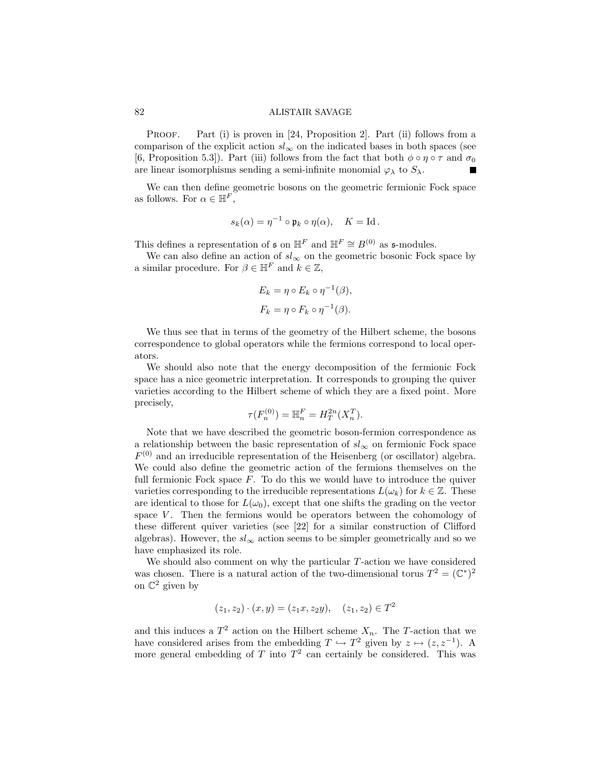PROOF. Part (i) is proven in [24, Proposition 2]. Part (ii) follows from a comparison of the explicit action  $sl_{\infty}$  on the indicated bases in both spaces (see [6, Proposition 5.3]). Part (iii) follows from the fact that both  $\phi \circ \eta \circ \tau$  and  $\sigma_0$ are linear isomorphisms sending a semi-infinite monomial  $\varphi_{\lambda}$  to  $S_{\lambda}$ .

We can then define geometric bosons on the geometric fermionic Fock space as follows. For  $\alpha \in \mathbb{H}^F$ ,

$$
s_k(\alpha) = \eta^{-1} \circ \mathfrak{p}_k \circ \eta(\alpha), \quad K = \text{Id}.
$$

This defines a representation of  $\mathfrak s$  on  $\mathbb H^F$  and  $\mathbb H^F \cong B^{(0)}$  as  $\mathfrak s$ -modules.

We can also define an action of  $sl_{\infty}$  on the geometric bosonic Fock space by a similar procedure. For  $\beta \in \mathbb{H}^F$  and  $k \in \mathbb{Z}$ ,

$$
E_k = \eta \circ E_k \circ \eta^{-1}(\beta),
$$
  

$$
F_k = \eta \circ F_k \circ \eta^{-1}(\beta).
$$

We thus see that in terms of the geometry of the Hilbert scheme, the bosons correspondence to global operators while the fermions correspond to local operators.

We should also note that the energy decomposition of the fermionic Fock space has a nice geometric interpretation. It corresponds to grouping the quiver varieties according to the Hilbert scheme of which they are a fixed point. More precisely,

$$
\tau(F_n^{(0)}) = \mathbb{H}_n^F = H_T^{2n}(X_n^T).
$$

Note that we have described the geometric boson-fermion correspondence as a relationship between the basic representation of  $sl_{\infty}$  on fermionic Fock space  $F^{(0)}$  and an irreducible representation of the Heisenberg (or oscillator) algebra. We could also define the geometric action of the fermions themselves on the full fermionic Fock space  $F$ . To do this we would have to introduce the quiver varieties corresponding to the irreducible representations  $L(\omega_k)$  for  $k \in \mathbb{Z}$ . These are identical to those for  $L(\omega_0)$ , except that one shifts the grading on the vector space  $V$ . Then the fermions would be operators between the cohomology of these different quiver varieties (see [22] for a similar construction of Clifford algebras). However, the  $sl_{\infty}$  action seems to be simpler geometrically and so we have emphasized its role.

We should also comment on why the particular  $T$ -action we have considered was chosen. There is a natural action of the two-dimensional torus  $T^2 = (\mathbb{C}^*)^2$ on  $\mathbb{C}^2$  given by

$$
(z_1, z_2) \cdot (x, y) = (z_1 x, z_2 y), \quad (z_1, z_2) \in T^2
$$

and this induces a  $T^2$  action on the Hilbert scheme  $X_n$ . The T-action that we have considered arises from the embedding  $T \hookrightarrow T^2$  given by  $z \mapsto (z, z^{-1})$ . A more general embedding of T into  $T^2$  can certainly be considered. This was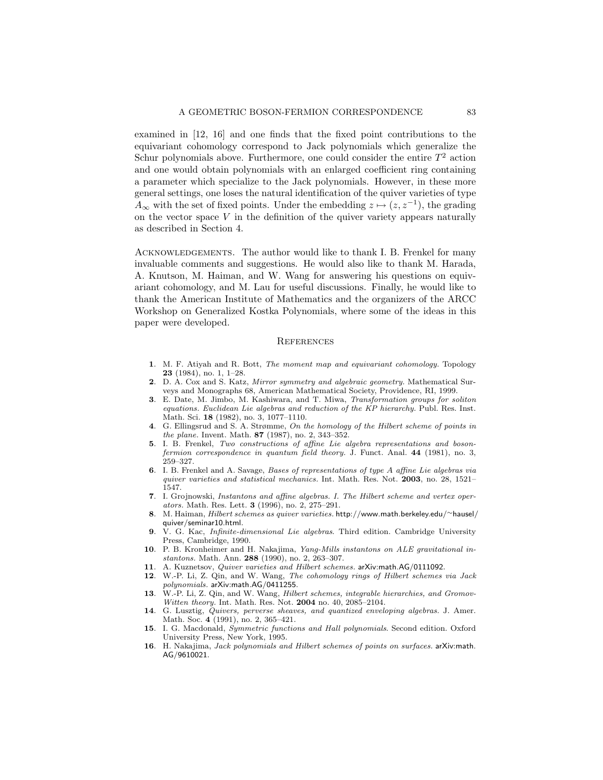examined in [12, 16] and one finds that the fixed point contributions to the equivariant cohomology correspond to Jack polynomials which generalize the Schur polynomials above. Furthermore, one could consider the entire  $T^2$  action and one would obtain polynomials with an enlarged coefficient ring containing a parameter which specialize to the Jack polynomials. However, in these more general settings, one loses the natural identification of the quiver varieties of type  $A_{\infty}$  with the set of fixed points. Under the embedding  $z \mapsto (z, z^{-1})$ , the grading on the vector space  $V$  in the definition of the quiver variety appears naturally as described in Section 4.

Acknowledgements. The author would like to thank I. B. Frenkel for many invaluable comments and suggestions. He would also like to thank M. Harada, A. Knutson, M. Haiman, and W. Wang for answering his questions on equivariant cohomology, and M. Lau for useful discussions. Finally, he would like to thank the American Institute of Mathematics and the organizers of the ARCC Workshop on Generalized Kostka Polynomials, where some of the ideas in this paper were developed.

#### **REFERENCES**

- 1. M. F. Atiyah and R. Bott, The moment map and equivariant cohomology. Topology 23 (1984), no. 1, 1–28.
- 2. D. A. Cox and S. Katz, Mirror symmetry and algebraic geometry. Mathematical Surveys and Monographs 68, American Mathematical Society, Providence, RI, 1999.
- 3. E. Date, M. Jimbo, M. Kashiwara, and T. Miwa, Transformation groups for soliton equations. Euclidean Lie algebras and reduction of the KP hierarchy. Publ. Res. Inst. Math. Sci. 18 (1982), no. 3, 1077–1110.
- 4. G. Ellingsrud and S. A. Strømme, On the homology of the Hilbert scheme of points in the plane. Invent. Math. 87 (1987), no. 2, 343–352.
- 5. I. B. Frenkel, Two constructions of affine Lie algebra representations and bosonfermion correspondence in quantum field theory. J. Funct. Anal. 44 (1981), no. 3, 259–327.
- 6. I. B. Frenkel and A. Savage, Bases of representations of type A affine Lie algebras via quiver varieties and statistical mechanics. Int. Math. Res. Not. 2003, no. 28, 1521– 1547.
- 7. I. Grojnowski, Instantons and affine algebras. I. The Hilbert scheme and vertex operators. Math. Res. Lett. 3 (1996), no. 2, 275–291.
- 8. M. Haiman, Hilbert schemes as quiver varieties. http://www.math.berkeley.edu/∼hausel/ quiver/seminar10.html.
- 9. V. G. Kac, Infinite-dimensional Lie algebras. Third edition. Cambridge University Press, Cambridge, 1990.
- 10. P. B. Kronheimer and H. Nakajima, Yang-Mills instantons on ALE gravitational instantons. Math. Ann. 288 (1990), no. 2, 263–307.
- 11. A. Kuznetsov, Quiver varieties and Hilbert schemes. arXiv:math.AG/0111092.
- 12. W.-P. Li, Z. Qin, and W. Wang, The cohomology rings of Hilbert schemes via Jack polynomials. arXiv:math.AG/0411255.
- 13. W.-P. Li, Z. Qin, and W. Wang, Hilbert schemes, integrable hierarchies, and Gromov-Witten theory. Int. Math. Res. Not. 2004 no. 40, 2085–2104.
- 14. G. Lusztig, Quivers, perverse sheaves, and quantized enveloping algebras. J. Amer. Math. Soc. 4 (1991), no. 2, 365–421.
- 15. I. G. Macdonald, Symmetric functions and Hall polynomials. Second edition. Oxford University Press, New York, 1995.
- 16. H. Nakajima, Jack polynomials and Hilbert schemes of points on surfaces. arXiv:math. AG/9610021.